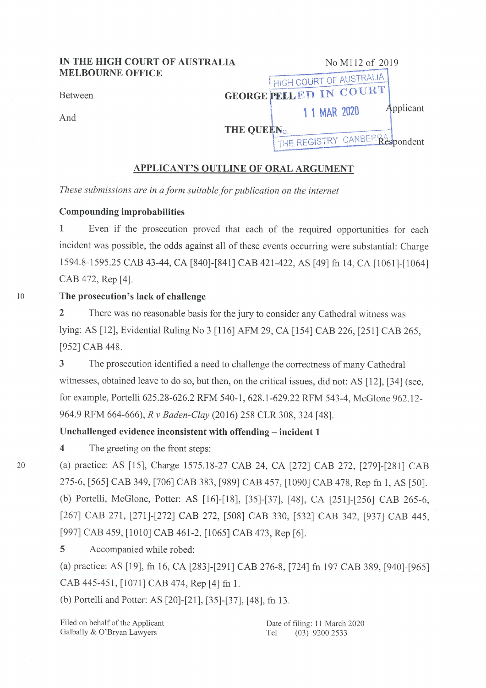# **IN THE HIGH COURT OF AUSTRALIA** No M112 of 2019 **MELBOURNE OFFICE FULLER AUSTRALIA Between GEORGE PELLED IN COURT 1 1 MAR 2020 • 1 A**pplicant **THE QUE No.** ., THE REGISTRY CANBLE Respondent **L.,:.:,.'..:=:--:..:.'** ::..:..------

#### **APPLICANT'S OUTLINE OF ORAL ARGUMENT**

*These submissions are in a form suitable for publication on the internet* 

#### **Compounding improbabilities**

**<sup>1</sup>**Even if the prosecution proved that each of the required opportunities for each incident was possible, the odds against all of these events occurring were substantial: Charge 1594.8-1595.25 CAB 43-44, CA [840]-[841] CAB 421-422, AS [49] fn 14, CA [1061]-[1064] CAB 472, Rep [4].

## Io **The prosecution's lack of challenge**

**<sup>2</sup>**There was no reasonable basis for the jury to consider any Cathedral witness was lying: AS [12], Evidential Ruling No 3 [116] AFM 29, CA [154] CAB 226, [251] CAB 265, [952] CAB 448.

**<sup>3</sup>**The prosecution identified a need to challenge the correctness of many Cathedral witnesses, obtained leave to do so, but then, on the critical issues, did not: AS [12], [34] (see, for example, Portelli 625.28-626.2 RFM 540-1, 628.1-629.22 RFM 543-4, McGlone 962.12- 964.9 RFM 664-666), *R v Baden-Clay* (2016) 258 CLR 308, 324 [48].

## **Unchallenged evidence inconsistent with offending - incident 1**

**4** The greeting on the front steps:

<sup>20</sup>(a) practice: AS [15], Charge 1575.18-27 CAB 24, CA [272] CAB 272, [279]-[281] CAB 275-6, [565] CAB 349, [706] CAB 383, [989] CAB 457, [1090] CAB 478, Rep fn 1, AS [50]. (b) Portelli, McGlone, Potter: AS [16]-[18], [35]-[37], [48], CA [251]-[256] CAB 265-6, [267] CAB 271, [271]-[272] CAB 272, [508] CAB 330, [532] CAB 342, [937] CAB 445, [997] CAB 459, [1010] CAB 461-2, [1065] CAB 473, Rep [6].

**5** Accompanied while robed:

(a) practice: AS [19], fn 16, CA [283]-[291] CAB 276-8, [724] fn 197 CAB 389, [940]-[965] CAB 445-451, [1071] CAB 474, Rep [4] fn 1.

(b) Portelli and Potter: AS [20]-[21], [35]-[37], [48], fn 13.

Filed on behalf of the Applicant Galbally & O'Bryan Lawyers

Date of filing: 11 March 2020 Tel (03) 9200 2533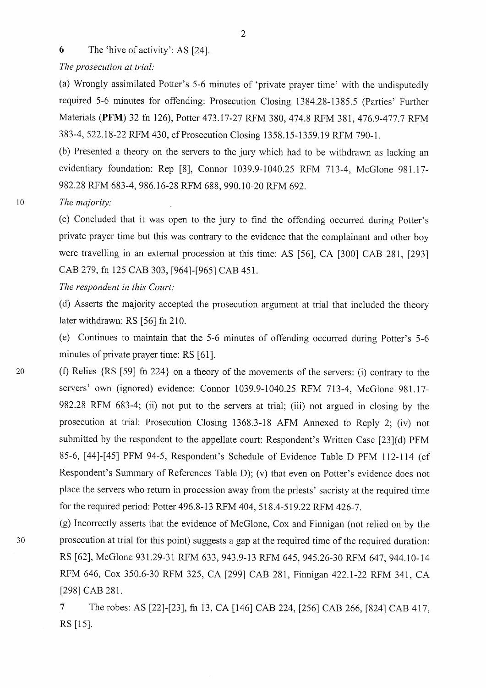**6** The 'hive of activity': AS [24].

*The prosecution at trial:* 

(a) Wrongly assimilated Potter's 5-6 minutes of 'private prayer time' with the undisputedly required 5-6 minutes for offending: Prosecution Closing 1384.28-1385.5 (Parties' Further Materials **(PFM)** 32 fn 126), Potter 473.17-27 RFM 380,474.8 RFM 381, 476.9-477.7 RFM 383-4, 522.18-22 RFM 430, cf Prosecution Closing 1358.15-1359.19 RFM 790-1.

(b) Presented a theory on the servers to the jury which had to be withdrawn as lacking an evidentiary foundation: Rep [8], Connor 1039.9-1040.25 RFM 713-4, McGlone 981.17- 982.28 RFM 683-4, 986.16-28 RFM 688, 990.10-20 RFM 692.

#### IO *The majority:*

(c) Concluded that it was open to the jury to find the offending occurred during Potter's private prayer time but this was contrary to the evidence that the complainant and other boy were travelling in an external procession at this time: AS [56], CA [300] CAB 281, [293] CAB 279, fn 125 CAB 303, [964]-[965] CAB 451.

*The respondent in this Court:* 

( d) Asserts the majority accepted the prosecution argument at trial that included the theory later withdrawn: RS [56] fn 210.

(e) Continues to maintain that the 5-6 minutes of offending occurred during Potter's 5-6 minutes of private prayer time: RS [61].

20 (f) Relies {RS [59] fn 224} on a theory of the movements of the servers: (i) contrary to the servers' own (ignored) evidence: Connor 1039.9-1040.25 RFM 713-4, McGlone 981.17- 982.28 RFM 683-4; (ii) not put to the servers at trial; (iii) not argued in closing by the prosecution at trial: Prosecution Closing 1368.3-18 AFM Annexed to Reply 2; (iv) not submitted by the respondent to the appellate court: Respondent's Written Case [23](d) PFM 85-6, [44]-[45] PFM 94-5, Respondent's Schedule of Evidence Table D PFM 112-114 (cf Respondent's Summary of References Table D); (v) that even on Potter's evidence does not <sup>p</sup>lace the servers who return in procession away from the priests' sacristy at the required time for the required period: Potter 496.8-13 RFM 404, 518.4-519.22 RFM 426-7.

(g) Incorrectly asserts that the evidence of McGlone, Cox and Finnigan (not relied on by the 30 prosecution at trial for this point) suggests a gap at the required time of the required duration: RS [62], McGlone 931.29-31 RFM 633, 943.9-13 RFM 645, 945.26-30 RFM 647, 944.10-14 RFM 646, Cox 350.6-30 RFM 325, CA [299] CAB 281, Finnigan 422.1-22 RFM 341, CA [298] CAB 281.

> <sup>7</sup>The robes: AS [22]-[23], fn 13, CA [146] CAB 224, [256] CAB 266, [824] CAB 417, RS [15].